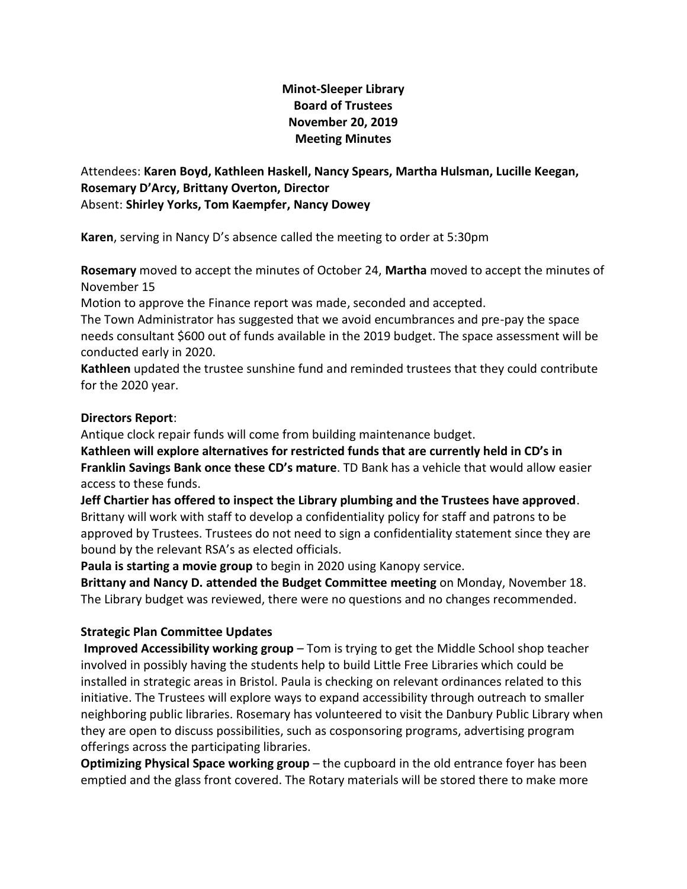# **Minot-Sleeper Library Board of Trustees November 20, 2019 Meeting Minutes**

## Attendees: **Karen Boyd, Kathleen Haskell, Nancy Spears, Martha Hulsman, Lucille Keegan, Rosemary D'Arcy, Brittany Overton, Director** Absent: **Shirley Yorks, Tom Kaempfer, Nancy Dowey**

**Karen**, serving in Nancy D's absence called the meeting to order at 5:30pm

**Rosemary** moved to accept the minutes of October 24, **Martha** moved to accept the minutes of November 15

Motion to approve the Finance report was made, seconded and accepted.

The Town Administrator has suggested that we avoid encumbrances and pre-pay the space needs consultant \$600 out of funds available in the 2019 budget. The space assessment will be conducted early in 2020.

**Kathleen** updated the trustee sunshine fund and reminded trustees that they could contribute for the 2020 year.

#### **Directors Report**:

Antique clock repair funds will come from building maintenance budget.

**Kathleen will explore alternatives for restricted funds that are currently held in CD's in Franklin Savings Bank once these CD's mature**. TD Bank has a vehicle that would allow easier access to these funds.

**Jeff Chartier has offered to inspect the Library plumbing and the Trustees have approved**. Brittany will work with staff to develop a confidentiality policy for staff and patrons to be approved by Trustees. Trustees do not need to sign a confidentiality statement since they are bound by the relevant RSA's as elected officials.

**Paula is starting a movie group** to begin in 2020 using Kanopy service.

**Brittany and Nancy D. attended the Budget Committee meeting** on Monday, November 18. The Library budget was reviewed, there were no questions and no changes recommended.

## **Strategic Plan Committee Updates**

**Improved Accessibility working group** – Tom is trying to get the Middle School shop teacher involved in possibly having the students help to build Little Free Libraries which could be installed in strategic areas in Bristol. Paula is checking on relevant ordinances related to this initiative. The Trustees will explore ways to expand accessibility through outreach to smaller neighboring public libraries. Rosemary has volunteered to visit the Danbury Public Library when they are open to discuss possibilities, such as cosponsoring programs, advertising program offerings across the participating libraries.

**Optimizing Physical Space working group** – the cupboard in the old entrance foyer has been emptied and the glass front covered. The Rotary materials will be stored there to make more